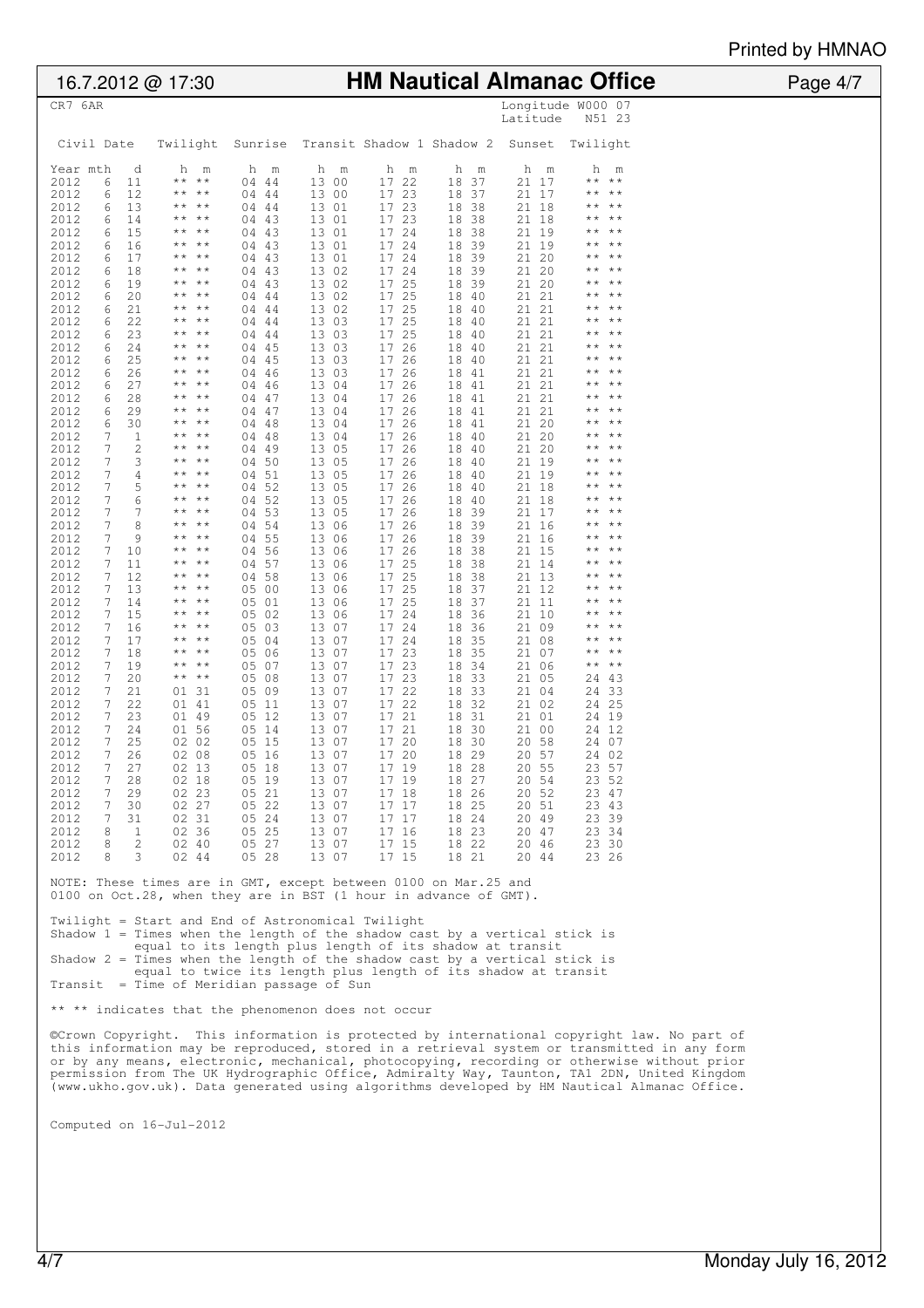Printed by HMNAO

| 16.7.2012 @ 17:30                                                                                                                                                                                                                                                                                                                                                                                                                                                                                                                                                                                                                                                                                                                                                                                                                                                                                                                                                                                                                                                                                                                                                                                                                                                                                                                                                                                                                                                                                                                                                                                                                                                                                                                                                                                                                                                                                                                                                                                                                                                                                                                                                                                                                                                                                                                                                                                                                                                                                                                    | <b>HM Nautical Almanac Office</b>                                                                                                                                                                                                                                                                                                                                                                                                                                                                                                                                                                                                                                                                                                                                                                                                                                                                                                                                                                                                                                                                                                                                                                                                                                                                                                                                                                                                                                                                                                                                                                                                                                                                                                                                                                                                                                                                                                                                                                                                                                                                                                                                                                                                                                                                                                                                                                                                                                                                                                                                                                                                                                                                                                                                                                                                                                                                                                                                                                                                                                                                                                                                                                                                                                                                                                                                                                                                                                                                                                                                                                                                                                                                                                                                                                                                                                                           | .<br>Page 4/7 |  |  |  |  |
|--------------------------------------------------------------------------------------------------------------------------------------------------------------------------------------------------------------------------------------------------------------------------------------------------------------------------------------------------------------------------------------------------------------------------------------------------------------------------------------------------------------------------------------------------------------------------------------------------------------------------------------------------------------------------------------------------------------------------------------------------------------------------------------------------------------------------------------------------------------------------------------------------------------------------------------------------------------------------------------------------------------------------------------------------------------------------------------------------------------------------------------------------------------------------------------------------------------------------------------------------------------------------------------------------------------------------------------------------------------------------------------------------------------------------------------------------------------------------------------------------------------------------------------------------------------------------------------------------------------------------------------------------------------------------------------------------------------------------------------------------------------------------------------------------------------------------------------------------------------------------------------------------------------------------------------------------------------------------------------------------------------------------------------------------------------------------------------------------------------------------------------------------------------------------------------------------------------------------------------------------------------------------------------------------------------------------------------------------------------------------------------------------------------------------------------------------------------------------------------------------------------------------------------|---------------------------------------------------------------------------------------------------------------------------------------------------------------------------------------------------------------------------------------------------------------------------------------------------------------------------------------------------------------------------------------------------------------------------------------------------------------------------------------------------------------------------------------------------------------------------------------------------------------------------------------------------------------------------------------------------------------------------------------------------------------------------------------------------------------------------------------------------------------------------------------------------------------------------------------------------------------------------------------------------------------------------------------------------------------------------------------------------------------------------------------------------------------------------------------------------------------------------------------------------------------------------------------------------------------------------------------------------------------------------------------------------------------------------------------------------------------------------------------------------------------------------------------------------------------------------------------------------------------------------------------------------------------------------------------------------------------------------------------------------------------------------------------------------------------------------------------------------------------------------------------------------------------------------------------------------------------------------------------------------------------------------------------------------------------------------------------------------------------------------------------------------------------------------------------------------------------------------------------------------------------------------------------------------------------------------------------------------------------------------------------------------------------------------------------------------------------------------------------------------------------------------------------------------------------------------------------------------------------------------------------------------------------------------------------------------------------------------------------------------------------------------------------------------------------------------------------------------------------------------------------------------------------------------------------------------------------------------------------------------------------------------------------------------------------------------------------------------------------------------------------------------------------------------------------------------------------------------------------------------------------------------------------------------------------------------------------------------------------------------------------------------------------------------------------------------------------------------------------------------------------------------------------------------------------------------------------------------------------------------------------------------------------------------------------------------------------------------------------------------------------------------------------------------------------------------------------------------------------------------------------------|---------------|--|--|--|--|
| CR7 6AR                                                                                                                                                                                                                                                                                                                                                                                                                                                                                                                                                                                                                                                                                                                                                                                                                                                                                                                                                                                                                                                                                                                                                                                                                                                                                                                                                                                                                                                                                                                                                                                                                                                                                                                                                                                                                                                                                                                                                                                                                                                                                                                                                                                                                                                                                                                                                                                                                                                                                                                              | Longitude W000 07<br>N51 23<br>Latitude                                                                                                                                                                                                                                                                                                                                                                                                                                                                                                                                                                                                                                                                                                                                                                                                                                                                                                                                                                                                                                                                                                                                                                                                                                                                                                                                                                                                                                                                                                                                                                                                                                                                                                                                                                                                                                                                                                                                                                                                                                                                                                                                                                                                                                                                                                                                                                                                                                                                                                                                                                                                                                                                                                                                                                                                                                                                                                                                                                                                                                                                                                                                                                                                                                                                                                                                                                                                                                                                                                                                                                                                                                                                                                                                                                                                                                                     |               |  |  |  |  |
| Civil Date<br>Twilight                                                                                                                                                                                                                                                                                                                                                                                                                                                                                                                                                                                                                                                                                                                                                                                                                                                                                                                                                                                                                                                                                                                                                                                                                                                                                                                                                                                                                                                                                                                                                                                                                                                                                                                                                                                                                                                                                                                                                                                                                                                                                                                                                                                                                                                                                                                                                                                                                                                                                                               | Transit Shadow 1 Shadow 2<br>Sunrise<br>Sunset<br>Twilight                                                                                                                                                                                                                                                                                                                                                                                                                                                                                                                                                                                                                                                                                                                                                                                                                                                                                                                                                                                                                                                                                                                                                                                                                                                                                                                                                                                                                                                                                                                                                                                                                                                                                                                                                                                                                                                                                                                                                                                                                                                                                                                                                                                                                                                                                                                                                                                                                                                                                                                                                                                                                                                                                                                                                                                                                                                                                                                                                                                                                                                                                                                                                                                                                                                                                                                                                                                                                                                                                                                                                                                                                                                                                                                                                                                                                                  |               |  |  |  |  |
| Year mth<br>d<br>h<br>m<br>11<br>$\star$ $\star$<br>$\star$ $\star$<br>2012<br>6<br>12<br>2012<br>$\star\star$<br>$\star\star$<br>6<br>2012<br>13<br>6<br>$\star\star$<br>$\star\star$<br>2012<br>14<br>$\star\star$<br>$\star\star$<br>6<br>2012<br>15<br>$\star\star$<br>$+ +$<br>6<br>2012<br>16<br>$\star\star$<br>$\star\star$<br>6<br>2012<br>17<br>6<br>$\star\star$<br>$* *$<br>2012<br>$\star\star$<br>$\star\star$<br>18<br>6<br>2012<br>19<br>$\star\star$<br>$+ +$<br>6<br>2012<br>20<br>6<br>$\star\star$<br>$\star\star$<br>2012<br>21<br>$\star\star$<br>$\star\star$<br>6<br>2012<br>22<br>$\star\star$<br>$\star\star$<br>6<br>2012<br>23<br>$\star\star$<br>$\star\star$<br>6<br>2012<br>24<br>6<br>$\star\star$<br>$\star\star$<br>2012<br>25<br>6<br>$\star\star$<br>$\star\star$<br>2012<br>26<br>$\star\star$<br>$+ +$<br>6<br>2012<br>27<br>$\star\star$<br>$\star\star$<br>6<br>2012<br>28<br>6<br>$\star\star$<br>$\star\star$<br>2012<br>29<br>$\star\star$<br>$\star\star$<br>6<br>30<br>$***$ **<br>2012<br>6<br>2012<br>7<br>$\mathbf 1$<br>$\star\star$<br>$\star\star$<br>2012<br>7<br>$\overline{\mathbf{c}}$<br>$\star\star$<br>$+ +$<br>3<br>2012<br>7<br>$\star\star$<br>$\star\star$<br>2012<br>$\overline{4}$<br>7<br>$\star\star$<br>$\star\star$<br>5<br>2012<br>7<br>$\star\star$<br>$\star\star$<br>6<br>2012<br>7<br>$\star\star$<br>$* *$<br>2012<br>7<br>7<br>$\star\star$<br>$\star\star$<br>8<br>2012<br>7<br>$\star\star$<br>$\star\star$<br>9<br>2012<br>7<br>$\star\star$<br>$\star\star$<br>2012<br>7<br>10<br>$\star\star$<br>$\star\star$<br>7<br>11<br>$\star\star$<br>$+ +$<br>2012<br>12<br>2012<br>7<br>$\star\star$<br>$\star\star$<br>2012<br>13<br>7<br>$+ +$<br>$\star\star$<br>2012<br>7<br>14<br>$\star\star$<br>$\star\star$<br>2012<br>15<br>7<br>$\star\star$<br>$+ +$<br>2012<br>7<br>16<br>$\star\star$<br>$+ +$<br>2012<br>17<br>7<br>$\star\star$<br>$+ +$<br>2012<br>7<br>18<br>$\star\star$<br>$\star\star$<br>19<br>2012<br>7<br>** **<br>2012<br>20<br>** **<br>7<br>2012<br>7<br>21<br>01 31<br>7<br>22<br>01 41<br>2012<br>2012<br>7<br>23<br>01 49<br>7<br>2012<br>24<br>01 56<br>2012<br>7<br>25<br>02 02<br>2012<br>$\frac{1}{2}$<br>26<br>02 08<br>7<br>2012<br>27<br>02 13<br>2012<br>28<br>7<br>02 18<br>2012<br>$7^{\circ}$<br>29<br>02 23<br>02 27<br>2012<br>$7^{\circ}$<br>30<br>2012<br>7<br>31<br>02 31<br>2012<br>02 36<br>8<br>1<br>2012<br>8<br>2<br>02 40<br>2012<br>8<br>3<br>02 44<br>Twilight = Start and End of Astronomical Twilight | h<br>h<br>h<br>h<br>m<br>h<br>h<br>m<br>m<br>m<br>m<br>m<br>13 00<br>17 22<br>18<br>37<br>$\star$ $\star$<br>$\star\star$<br>04 44<br>21<br>17<br>04 44<br>13 00<br>17<br>23<br>18 37<br>21<br>17<br>$\star\star$<br>* *<br>17 23<br>13 01<br>18 38<br>21<br>18<br>$* *$<br>04 44<br>* *<br>13 01<br>17<br>23<br>18<br>38<br>21<br>18<br>$\star$ +<br>04 43<br>24<br>18<br>$\star\star$<br>04 43<br>13 01<br>17<br>38<br>21<br>19<br>* *<br>24<br>04 43<br>13 01<br>17 <sub>2</sub><br>18<br>39<br>21<br>19<br>$\star\star$<br>04 43<br>13 01<br>17<br>24<br>18<br>39<br>21<br>20<br>$\star\star$<br>17 24<br>18 39<br>20<br>$* *$<br>04 43<br>13 02<br>21<br>17 25<br>04 43<br>13 02<br>18<br>39<br>21<br>20<br>$* *$<br>13 02<br>17<br>25<br>18<br>21<br>21<br>04 44<br>- 40<br>$\star\star$<br>17 25<br>13 02<br>18<br>40<br>21<br>21<br>$* *$<br>04 44<br>25<br>18<br>$* *$<br>04 44<br>13 03<br>17<br>-40<br>21<br>21<br>* *<br>25<br>04 44<br>13 03<br>17<br>18 40<br>21<br>21<br>$\star\star$<br>26<br>21<br>04 45<br>13 03<br>17 <sub>2</sub><br>18 40<br>21<br>$\star$ $\star$<br>13 03<br>17<br>26<br>18 40<br>21<br>04 45<br>21<br>$\star\star$<br>17<br>26<br>18 41<br>21<br>04 46<br>13 03<br>21<br>* *<br>04 46<br>13 04<br>17 26<br>18 41<br>21<br>21<br>$\star\star$<br>13 04<br>17<br>26<br>18<br>21<br>21<br>$* *$<br>04 47<br>-41<br>* *<br>13 04<br>17<br>26<br>18 41<br>21<br>21<br>$\star$ +<br>04 47<br>26<br>$\star\star$<br>04 48<br>13 04<br>17<br>18<br>-41<br>21<br>20<br>* *<br>04 48<br>13 04<br>17<br>26<br>18 40<br>21<br>20<br>$\star\star$<br>17<br>26<br>21<br>20<br>04 49<br>13 05<br>18<br>40<br>$* *$<br>* *<br>04 50<br>26<br>18 40<br>$* *$<br>13 05<br>17<br>21<br>19<br>* *<br>04 51<br>13 05<br>17<br>26<br>18 40<br>21<br>19<br>$* *$<br>26<br>04 52<br>13 05<br>17 <sub>2</sub><br>18 40<br>21<br>18<br>$\star\star$<br>04 52<br>13 05<br>17<br>26<br>18<br>40<br>21<br>18<br>$\star\star$<br>04 53<br>26<br>18 39<br>17<br>$* *$<br>13 05<br>17<br>21<br>17 26<br>04 54<br>13 06<br>18<br>39<br>21<br>16<br>$* *$<br>04 55<br>13 06<br>17<br>26<br>18<br>39<br>21<br>16<br>$\star\star$<br>17 26<br>04 56<br>13 06<br>18<br>38<br>21<br>15<br>$\star\star$<br>$\star\star$<br>04 57<br>25<br>18<br>38<br>13 06<br>17<br>21<br>14<br>* *<br>04 58<br>13 06<br>17<br>25<br>18 38<br>21<br>13<br>$\star\star$<br>17 25<br>18 37<br>05 00<br>13 06<br>21<br>12<br>$* *$<br>* *<br>13 06<br>17<br>25<br>18<br>37<br>21<br>11<br>$\star\star$<br>05 01<br>24<br>18 36<br>05 02<br>13 06<br>17<br>21<br>10<br>$* *$<br>* *<br>17 24<br>05 03<br>13 07<br>18 36<br>21<br>09<br>$\star\star$<br>17<br>24<br>05 04<br>13 07<br>18<br>35<br>21<br>08<br>$* *$<br>* *<br>05 06<br>13 07<br>17<br>23<br>18<br>35<br>21<br>07<br>$\star\star$<br>17 23<br>$\star$ $\star$<br>$\star\star$<br>05 07<br>13 07<br>18<br>34<br>21<br>06<br>13 07<br>17<br>23<br>21<br>05 08<br>18 33<br>05<br>24<br>43<br>17 22<br>05 09<br>13 07<br>18 33<br>21<br>04<br>24 33<br>13 07<br>22<br>32<br>02<br>25<br>05 11<br>17<br>18<br>21<br>24<br>05 12<br>13 07<br>17<br>21<br>18 31<br>21<br>01<br>24 19<br>17 21<br>05 14<br>13 07<br>18 30<br>21<br>00<br>24 12<br>05 15<br>13 07<br>17<br>20<br>18 30<br>20<br>58<br>24 07<br>05 16<br>13 07<br>17 20<br>18 29<br>20 57<br>24 02<br>05 18<br>13 07<br>17 19<br>18 28<br>20 55<br>23 57<br>17 19<br>05 19<br>13 07<br>18 27<br>20 54<br>23 52<br>05 21<br>13 07<br>17 18<br>18 26<br>20 52<br>23 47<br>05 22<br>13 07<br>17 17<br>18 25<br>20 51<br>23 43<br>05 24<br>13 07<br>17 17<br>18 24<br>20 49<br>23 39<br>05 25<br>17 16<br>18 23<br>23 34<br>13 07<br>20 47<br>05 27<br>13 07<br>17 15<br>18 22<br>20 46<br>23 30<br>05 28<br>13 07<br>17 15<br>18 21<br>20 44<br>23 26<br>NOTE: These times are in GMT, except between 0100 on Mar.25 and<br>0100 on Oct.28, when they are in BST (1 hour in advance of GMT). |               |  |  |  |  |
| Shadow $1$ = Times when the length of the shadow cast by a vertical stick is<br>equal to its length plus length of its shadow at transit<br>Shadow 2 = Times when the length of the shadow cast by a vertical stick is<br>equal to twice its length plus length of its shadow at transit                                                                                                                                                                                                                                                                                                                                                                                                                                                                                                                                                                                                                                                                                                                                                                                                                                                                                                                                                                                                                                                                                                                                                                                                                                                                                                                                                                                                                                                                                                                                                                                                                                                                                                                                                                                                                                                                                                                                                                                                                                                                                                                                                                                                                                             |                                                                                                                                                                                                                                                                                                                                                                                                                                                                                                                                                                                                                                                                                                                                                                                                                                                                                                                                                                                                                                                                                                                                                                                                                                                                                                                                                                                                                                                                                                                                                                                                                                                                                                                                                                                                                                                                                                                                                                                                                                                                                                                                                                                                                                                                                                                                                                                                                                                                                                                                                                                                                                                                                                                                                                                                                                                                                                                                                                                                                                                                                                                                                                                                                                                                                                                                                                                                                                                                                                                                                                                                                                                                                                                                                                                                                                                                                             |               |  |  |  |  |
| Transit = Time of Meridian passage of Sun<br>** ** indicates that the phenomenon does not occur                                                                                                                                                                                                                                                                                                                                                                                                                                                                                                                                                                                                                                                                                                                                                                                                                                                                                                                                                                                                                                                                                                                                                                                                                                                                                                                                                                                                                                                                                                                                                                                                                                                                                                                                                                                                                                                                                                                                                                                                                                                                                                                                                                                                                                                                                                                                                                                                                                      |                                                                                                                                                                                                                                                                                                                                                                                                                                                                                                                                                                                                                                                                                                                                                                                                                                                                                                                                                                                                                                                                                                                                                                                                                                                                                                                                                                                                                                                                                                                                                                                                                                                                                                                                                                                                                                                                                                                                                                                                                                                                                                                                                                                                                                                                                                                                                                                                                                                                                                                                                                                                                                                                                                                                                                                                                                                                                                                                                                                                                                                                                                                                                                                                                                                                                                                                                                                                                                                                                                                                                                                                                                                                                                                                                                                                                                                                                             |               |  |  |  |  |
| ©Crown Copyright. This information is protected by international copyright law. No part of<br>this information may be reproduced, stored in a retrieval system or transmitted in any form<br>or by any means, electronic, mechanical, photocopying, recording or otherwise without prior<br>permission from The UK Hydrographic Office, Admiralty Way, Taunton, TA1 2DN, United Kingdom<br>(www.ukho.gov.uk). Data generated using algorithms developed by HM Nautical Almanac Office.                                                                                                                                                                                                                                                                                                                                                                                                                                                                                                                                                                                                                                                                                                                                                                                                                                                                                                                                                                                                                                                                                                                                                                                                                                                                                                                                                                                                                                                                                                                                                                                                                                                                                                                                                                                                                                                                                                                                                                                                                                               |                                                                                                                                                                                                                                                                                                                                                                                                                                                                                                                                                                                                                                                                                                                                                                                                                                                                                                                                                                                                                                                                                                                                                                                                                                                                                                                                                                                                                                                                                                                                                                                                                                                                                                                                                                                                                                                                                                                                                                                                                                                                                                                                                                                                                                                                                                                                                                                                                                                                                                                                                                                                                                                                                                                                                                                                                                                                                                                                                                                                                                                                                                                                                                                                                                                                                                                                                                                                                                                                                                                                                                                                                                                                                                                                                                                                                                                                                             |               |  |  |  |  |
| Computed on 16-Jul-2012                                                                                                                                                                                                                                                                                                                                                                                                                                                                                                                                                                                                                                                                                                                                                                                                                                                                                                                                                                                                                                                                                                                                                                                                                                                                                                                                                                                                                                                                                                                                                                                                                                                                                                                                                                                                                                                                                                                                                                                                                                                                                                                                                                                                                                                                                                                                                                                                                                                                                                              |                                                                                                                                                                                                                                                                                                                                                                                                                                                                                                                                                                                                                                                                                                                                                                                                                                                                                                                                                                                                                                                                                                                                                                                                                                                                                                                                                                                                                                                                                                                                                                                                                                                                                                                                                                                                                                                                                                                                                                                                                                                                                                                                                                                                                                                                                                                                                                                                                                                                                                                                                                                                                                                                                                                                                                                                                                                                                                                                                                                                                                                                                                                                                                                                                                                                                                                                                                                                                                                                                                                                                                                                                                                                                                                                                                                                                                                                                             |               |  |  |  |  |